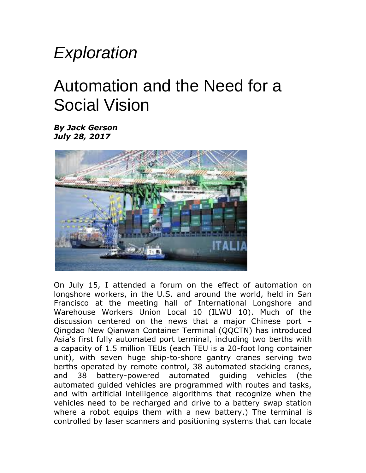## *Exploration*

## Automation and the Need for a Social Vision

*By Jack Gerson July 28, 2017*



On July 15, I attended a forum on the effect of automation on longshore workers, in the U.S. and around the world, held in San Francisco at the meeting hall of International Longshore and Warehouse Workers Union Local 10 (ILWU 10). Much of the discussion centered on the news that a major Chinese port – Qingdao New Qianwan Container Terminal (QQCTN) has introduced Asia's first fully automated port terminal, including two berths with a capacity of 1.5 million TEUs (each TEU is a 20-foot long container unit), with seven huge ship-to-shore gantry cranes serving two berths operated by remote control, 38 automated stacking cranes, and 38 battery-powered automated guiding vehicles (the automated guided vehicles are programmed with routes and tasks, and with artificial intelligence algorithms that recognize when the vehicles need to be recharged and drive to a battery swap station where a robot equips them with a new battery.) The terminal is controlled by laser scanners and positioning systems that can locate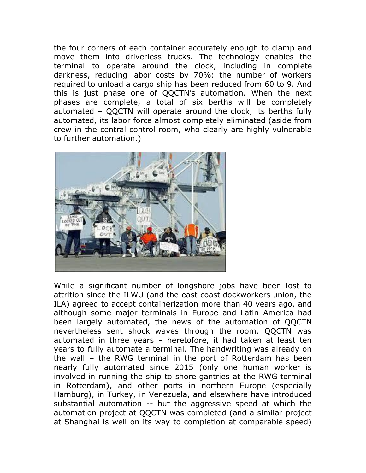the four corners of each container accurately enough to clamp and move them into driverless trucks. The technology enables the terminal to operate around the clock, including in complete darkness, reducing labor costs by 70%: the number of workers required to unload a cargo ship has been reduced from 60 to 9. And this is just phase one of QQCTN's automation. When the next phases are complete, a total of six berths will be completely automated – QQCTN will operate around the clock, its berths fully automated, its labor force almost completely eliminated (aside from crew in the central control room, who clearly are highly vulnerable to further automation.)



While a significant number of longshore jobs have been lost to attrition since the ILWU (and the east coast dockworkers union, the ILA) agreed to accept containerization more than 40 years ago, and although some major terminals in Europe and Latin America had been largely automated, the news of the automation of QQCTN nevertheless sent shock waves through the room. QQCTN was automated in three years – heretofore, it had taken at least ten years to fully automate a terminal. The handwriting was already on the wall – the RWG terminal in the port of Rotterdam has been nearly fully automated since 2015 (only one human worker is involved in running the ship to shore gantries at the RWG terminal in Rotterdam), and other ports in northern Europe (especially Hamburg), in Turkey, in Venezuela, and elsewhere have introduced substantial automation -- but the aggressive speed at which the automation project at QQCTN was completed (and a similar project at Shanghai is well on its way to completion at comparable speed)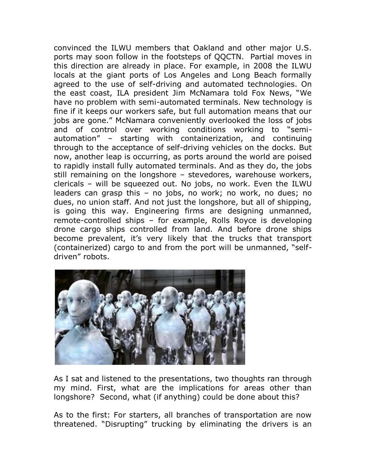convinced the ILWU members that Oakland and other major U.S. ports may soon follow in the footsteps of QQCTN. Partial moves in this direction are already in place. For example, in 2008 the ILWU locals at the giant ports of Los Angeles and Long Beach formally agreed to the use of self-driving and automated technologies. On the east coast, ILA president Jim McNamara told Fox News, "We have no problem with semi-automated terminals. New technology is fine if it keeps our workers safe, but full automation means that our jobs are gone." McNamara conveniently overlooked the loss of jobs and of control over working conditions working to "semiautomation" – starting with containerization, and continuing through to the acceptance of self-driving vehicles on the docks. But now, another leap is occurring, as ports around the world are poised to rapidly install fully automated terminals. And as they do, the jobs still remaining on the longshore – stevedores, warehouse workers, clericals – will be squeezed out. No jobs, no work. Even the ILWU leaders can grasp this – no jobs, no work; no work, no dues; no dues, no union staff. And not just the longshore, but all of shipping, is going this way. Engineering firms are designing unmanned, remote-controlled ships – for example, Rolls Royce is developing drone cargo ships controlled from land. And before drone ships become prevalent, it's very likely that the trucks that transport (containerized) cargo to and from the port will be unmanned, "selfdriven" robots.



As I sat and listened to the presentations, two thoughts ran through my mind. First, what are the implications for areas other than longshore? Second, what (if anything) could be done about this?

As to the first: For starters, all branches of transportation are now threatened. "Disrupting" trucking by eliminating the drivers is an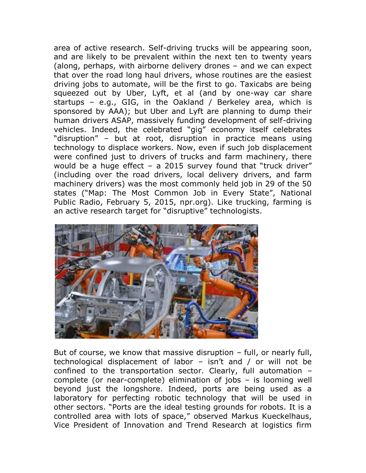area of active research. Self-driving trucks will be appearing soon, and are likely to be prevalent within the next ten to twenty years (along, perhaps, with airborne delivery drones – and we can expect that over the road long haul drivers, whose routines are the easiest driving jobs to automate, will be the first to go. Taxicabs are being squeezed out by Uber, Lyft, et al (and by one-way car share startups – e.g., GIG, in the Oakland / Berkeley area, which is sponsored by AAA); but Uber and Lyft are planning to dump their human drivers ASAP, massively funding development of self-driving vehicles. Indeed, the celebrated "gig" economy itself celebrates "disruption" – but at root, disruption in practice means using technology to displace workers. Now, even if such job displacement were confined just to drivers of trucks and farm machinery, there would be a huge effect – a 2015 survey found that "truck driver" (including over the road drivers, local delivery drivers, and farm machinery drivers) was the most commonly held job in 29 of the 50 states ("Map: The Most Common Job in Every State", National Public Radio, February 5, 2015, npr.org). Like trucking, farming is an active research target for "disruptive" technologists.



But of course, we know that massive disruption – full, or nearly full, technological displacement of labor – isn't and / or will not be confined to the transportation sector. Clearly, full automation – complete (or near-complete) elimination of jobs – is looming well beyond just the longshore. Indeed, ports are being used as a laboratory for perfecting robotic technology that will be used in other sectors. "Ports are the ideal testing grounds for robots. It is a controlled area with lots of space," observed Markus Kueckelhaus, Vice President of Innovation and Trend Research at logistics firm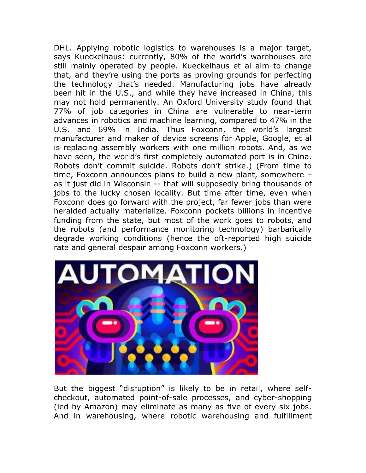DHL. Applying robotic logistics to warehouses is a major target, says Kueckelhaus: currently, 80% of the world's warehouses are still mainly operated by people. Kueckelhaus et al aim to change that, and they're using the ports as proving grounds for perfecting the technology that's needed. Manufacturing jobs have already been hit in the U.S., and while they have increased in China, this may not hold permanently. An Oxford University study found that 77% of job categories in China are vulnerable to near-term advances in robotics and machine learning, compared to 47% in the U.S. and 69% in India. Thus Foxconn, the world's largest manufacturer and maker of device screens for Apple, Google, et al is replacing assembly workers with one million robots. And, as we have seen, the world's first completely automated port is in China. Robots don't commit suicide. Robots don't strike.) (From time to time, Foxconn announces plans to build a new plant, somewhere – as it just did in Wisconsin -- that will supposedly bring thousands of jobs to the lucky chosen locality. But time after time, even when Foxconn does go forward with the project, far fewer jobs than were heralded actually materialize. Foxconn pockets billions in incentive funding from the state, but most of the work goes to robots, and the robots (and performance monitoring technology) barbarically degrade working conditions (hence the oft-reported high suicide rate and general despair among Foxconn workers.)



But the biggest "disruption" is likely to be in retail, where selfcheckout, automated point-of-sale processes, and cyber-shopping (led by Amazon) may eliminate as many as five of every six jobs. And in warehousing, where robotic warehousing and fulfillment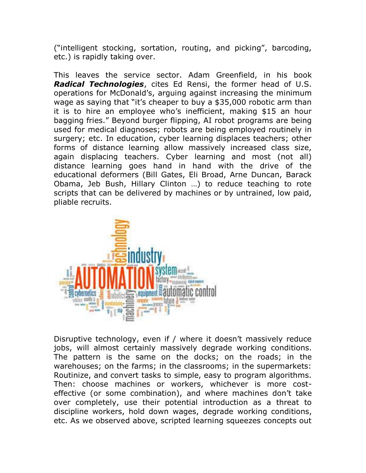("intelligent stocking, sortation, routing, and picking", barcoding, etc.) is rapidly taking over.

This leaves the service sector. Adam Greenfield, in his book *Radical Technologies*, cites Ed Rensi, the former head of U.S. operations for McDonald's, arguing against increasing the minimum wage as saying that "it's cheaper to buy a \$35,000 robotic arm than it is to hire an employee who's inefficient, making \$15 an hour bagging fries." Beyond burger flipping, AI robot programs are being used for medical diagnoses; robots are being employed routinely in surgery; etc. In education, cyber learning displaces teachers; other forms of distance learning allow massively increased class size, again displacing teachers. Cyber learning and most (not all) distance learning goes hand in hand with the drive of the educational deformers (Bill Gates, Eli Broad, Arne Duncan, Barack Obama, Jeb Bush, Hillary Clinton …) to reduce teaching to rote scripts that can be delivered by machines or by untrained, low paid, pliable recruits.



Disruptive technology, even if / where it doesn't massively reduce jobs, will almost certainly massively degrade working conditions. The pattern is the same on the docks; on the roads; in the warehouses; on the farms; in the classrooms; in the supermarkets: Routinize, and convert tasks to simple, easy to program algorithms. Then: choose machines or workers, whichever is more costeffective (or some combination), and where machines don't take over completely, use their potential introduction as a threat to discipline workers, hold down wages, degrade working conditions, etc. As we observed above, scripted learning squeezes concepts out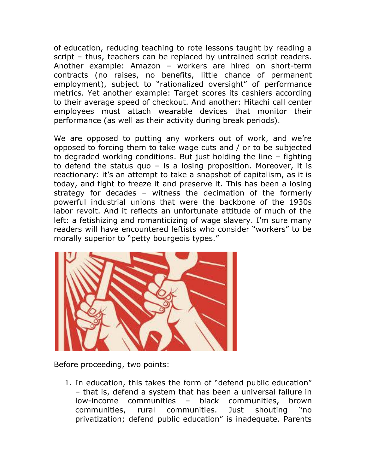of education, reducing teaching to rote lessons taught by reading a script – thus, teachers can be replaced by untrained script readers. Another example: Amazon – workers are hired on short-term contracts (no raises, no benefits, little chance of permanent employment), subject to "rationalized oversight" of performance metrics. Yet another example: Target scores its cashiers according to their average speed of checkout. And another: Hitachi call center employees must attach wearable devices that monitor their performance (as well as their activity during break periods).

We are opposed to putting any workers out of work, and we're opposed to forcing them to take wage cuts and / or to be subjected to degraded working conditions. But just holding the line – fighting to defend the status quo  $-$  is a losing proposition. Moreover, it is reactionary: it's an attempt to take a snapshot of capitalism, as it is today, and fight to freeze it and preserve it. This has been a losing strategy for decades – witness the decimation of the formerly powerful industrial unions that were the backbone of the 1930s labor revolt. And it reflects an unfortunate attitude of much of the left: a fetishizing and romanticizing of wage slavery. I'm sure many readers will have encountered leftists who consider "workers" to be morally superior to "petty bourgeois types."



Before proceeding, two points:

1. In education, this takes the form of "defend public education" – that is, defend a system that has been a universal failure in low-income communities – black communities, brown communities, rural communities. Just shouting "no privatization; defend public education" is inadequate. Parents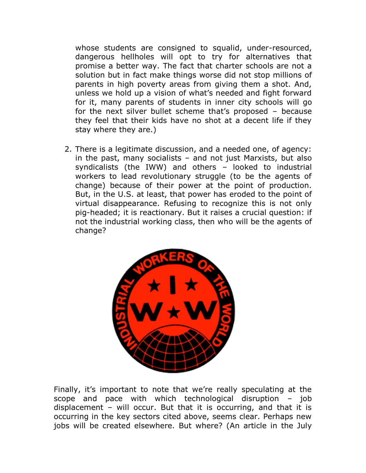whose students are consigned to squalid, under-resourced, dangerous hellholes will opt to try for alternatives that promise a better way. The fact that charter schools are not a solution but in fact make things worse did not stop millions of parents in high poverty areas from giving them a shot. And, unless we hold up a vision of what's needed and fight forward for it, many parents of students in inner city schools will go for the next silver bullet scheme that's proposed – because they feel that their kids have no shot at a decent life if they stay where they are.)

2. There is a legitimate discussion, and a needed one, of agency: in the past, many socialists – and not just Marxists, but also syndicalists (the IWW) and others – looked to industrial workers to lead revolutionary struggle (to be the agents of change) because of their power at the point of production. But, in the U.S. at least, that power has eroded to the point of virtual disappearance. Refusing to recognize this is not only pig-headed; it is reactionary. But it raises a crucial question: if not the industrial working class, then who will be the agents of change?



Finally, it's important to note that we're really speculating at the scope and pace with which technological disruption – job displacement – will occur. But that it is occurring, and that it is occurring in the key sectors cited above, seems clear. Perhaps new jobs will be created elsewhere. But where? (An article in the July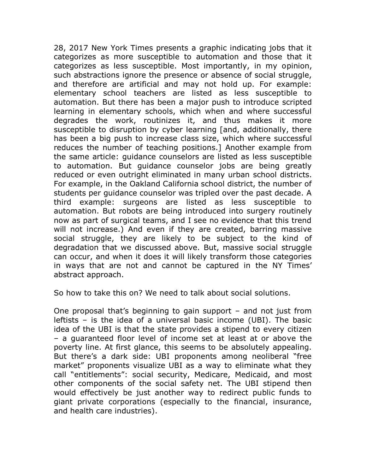28, 2017 New York Times presents a graphic indicating jobs that it categorizes as more susceptible to automation and those that it categorizes as less susceptible. Most importantly, in my opinion, such abstractions ignore the presence or absence of social struggle, and therefore are artificial and may not hold up. For example: elementary school teachers are listed as less susceptible to automation. But there has been a major push to introduce scripted learning in elementary schools, which when and where successful degrades the work, routinizes it, and thus makes it more susceptible to disruption by cyber learning [and, additionally, there has been a big push to increase class size, which where successful reduces the number of teaching positions.] Another example from the same article: guidance counselors are listed as less susceptible to automation. But guidance counselor jobs are being greatly reduced or even outright eliminated in many urban school districts. For example, in the Oakland California school district, the number of students per guidance counselor was tripled over the past decade. A third example: surgeons are listed as less susceptible to automation. But robots are being introduced into surgery routinely now as part of surgical teams, and I see no evidence that this trend will not increase.) And even if they are created, barring massive social struggle, they are likely to be subject to the kind of degradation that we discussed above. But, massive social struggle can occur, and when it does it will likely transform those categories in ways that are not and cannot be captured in the NY Times' abstract approach.

So how to take this on? We need to talk about social solutions.

One proposal that's beginning to gain support – and not just from leftists – is the idea of a universal basic income (UBI). The basic idea of the UBI is that the state provides a stipend to every citizen – a guaranteed floor level of income set at least at or above the poverty line. At first glance, this seems to be absolutely appealing. But there's a dark side: UBI proponents among neoliberal "free market" proponents visualize UBI as a way to eliminate what they call "entitlements": social security, Medicare, Medicaid, and most other components of the social safety net. The UBI stipend then would effectively be just another way to redirect public funds to giant private corporations (especially to the financial, insurance, and health care industries).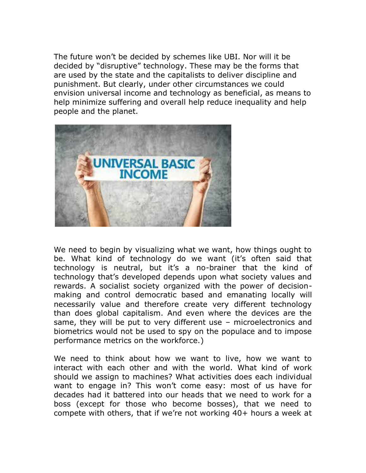The future won't be decided by schemes like UBI. Nor will it be decided by "disruptive" technology. These may be the forms that are used by the state and the capitalists to deliver discipline and punishment. But clearly, under other circumstances we could envision universal income and technology as beneficial, as means to help minimize suffering and overall help reduce inequality and help people and the planet.



We need to begin by visualizing what we want, how things ought to be. What kind of technology do we want (it's often said that technology is neutral, but it's a no-brainer that the kind of technology that's developed depends upon what society values and rewards. A socialist society organized with the power of decisionmaking and control democratic based and emanating locally will necessarily value and therefore create very different technology than does global capitalism. And even where the devices are the same, they will be put to very different use – microelectronics and biometrics would not be used to spy on the populace and to impose performance metrics on the workforce.)

We need to think about how we want to live, how we want to interact with each other and with the world. What kind of work should we assign to machines? What activities does each individual want to engage in? This won't come easy: most of us have for decades had it battered into our heads that we need to work for a boss (except for those who become bosses), that we need to compete with others, that if we're not working 40+ hours a week at